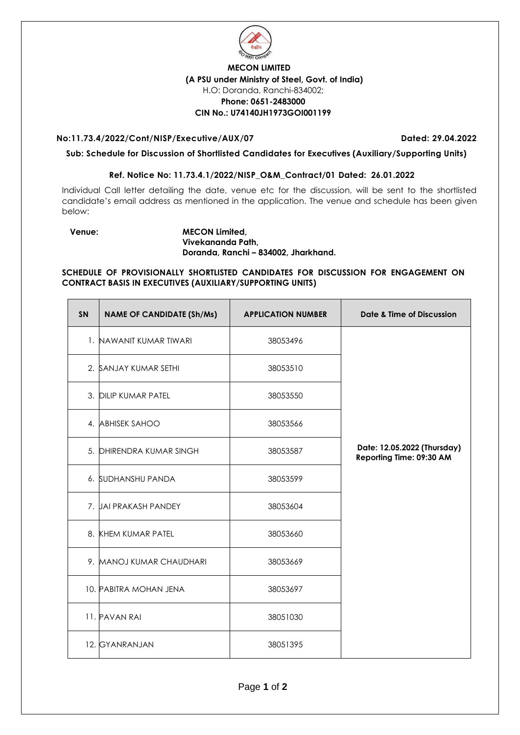

### **MECON LIMITED (A PSU under Ministry of Steel, Govt. of India)** H.O: Doranda, Ranchi-834002; **Phone: 0651-2483000 CIN No.: U74140JH1973GOI001199**

### **No:11.73.4/2022/Cont/NISP/Executive/AUX/07 Dated: 29.04.2022**

**Sub: Schedule for Discussion of Shortlisted Candidates for Executives (Auxiliary/Supporting Units)** 

## **Ref. Notice No: 11.73.4.1/2022/NISP\_O&M\_Contract/01 Dated: 26.01.2022**

Individual Call letter detailing the date, venue etc for the discussion, will be sent to the shortlisted candidate's email address as mentioned in the application. The venue and schedule has been given below:

#### **Venue: MECON Limited, Vivekananda Path, Doranda, Ranchi – 834002, Jharkhand.**

**SCHEDULE OF PROVISIONALLY SHORTLISTED CANDIDATES FOR DISCUSSION FOR ENGAGEMENT ON CONTRACT BASIS IN EXECUTIVES (AUXILIARY/SUPPORTING UNITS)**

| <b>SN</b> | <b>NAME OF CANDIDATE (Sh/Ms)</b> | <b>APPLICATION NUMBER</b> | <b>Date &amp; Time of Discussion</b>                    |
|-----------|----------------------------------|---------------------------|---------------------------------------------------------|
|           | 1. NAWANIT KUMAR TIWARI          | 38053496                  |                                                         |
|           | 2. SANJAY KUMAR SETHI            | 38053510                  |                                                         |
|           | 3. DILIP KUMAR PATEL             | 38053550                  |                                                         |
|           | 4. ABHISEK SAHOO                 | 38053566                  |                                                         |
|           | 5. DHIRENDRA KUMAR SINGH         | 38053587                  | Date: 12.05.2022 (Thursday)<br>Reporting Time: 09:30 AM |
|           | 6. SUDHANSHU PANDA               | 38053599                  |                                                         |
|           | 7. JAI PRAKASH PANDEY            | 38053604                  |                                                         |
|           | 8. KHEM KUMAR PATEL              | 38053660                  |                                                         |
|           | 9. MANOJ KUMAR CHAUDHARI         | 38053669                  |                                                         |
|           | 10. PABITRA MOHAN JENA           | 38053697                  |                                                         |
|           | 11. PAVAN RAI                    | 38051030                  |                                                         |
|           | 12. GYANRANJAN                   | 38051395                  |                                                         |